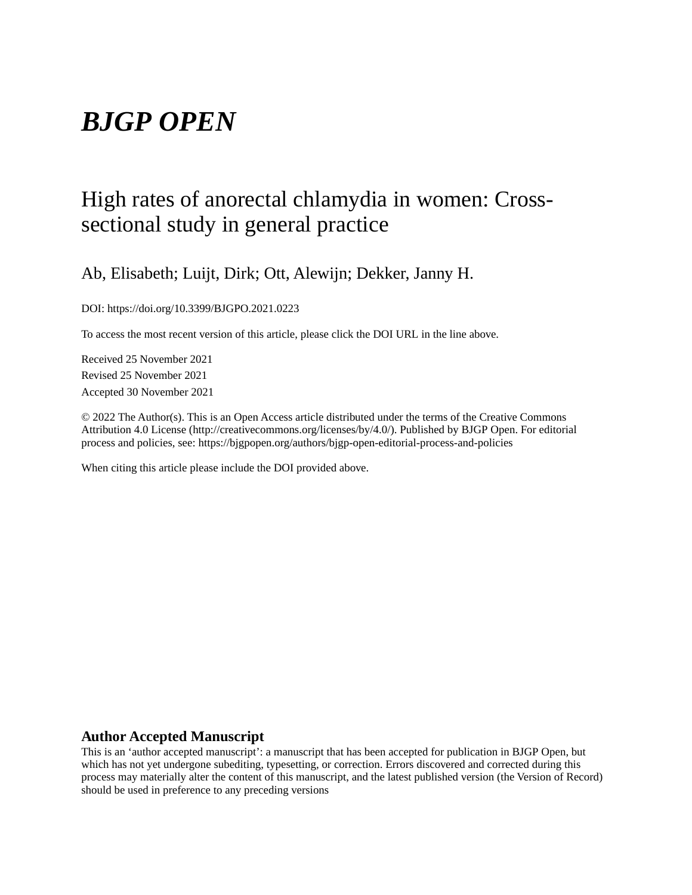# *BJGP OPEN*

## High rates of anorectal chlamydia in women: Crosssectional study in general practice

Ab, Elisabeth; Luijt, Dirk; Ott, Alewijn; Dekker, Janny H.

DOI: https://doi.org/10.3399/BJGPO.2021.0223

To access the most recent version of this article, please click the DOI URL in the line above.

Received 25 November 2021 Revised 25 November 2021 Accepted 30 November 2021

© 2022 The Author(s). This is an Open Access article distributed under the terms of the Creative Commons Attribution 4.0 License (http://creativecommons.org/licenses/by/4.0/). Published by BJGP Open. For editorial process and policies, see: https://bjgpopen.org/authors/bjgp-open-editorial-process-and-policies

When citing this article please include the DOI provided above.

### **Author Accepted Manuscript**

This is an 'author accepted manuscript': a manuscript that has been accepted for publication in BJGP Open, but which has not yet undergone subediting, typesetting, or correction. Errors discovered and corrected during this process may materially alter the content of this manuscript, and the latest published version (the Version of Record) should be used in preference to any preceding versions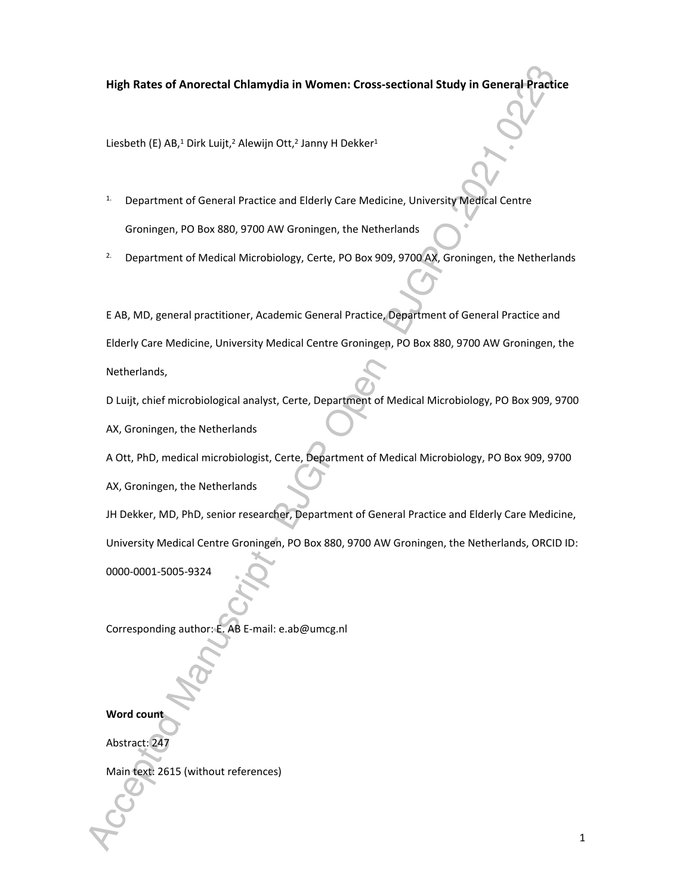## **High Rates of Anorectal Chlamydia in Women: Cross-sectional Study in General Practice**

Liesbeth (E) AB,<sup>1</sup> Dirk Luijt,<sup>2</sup> Alewijn Ott,<sup>2</sup> Janny H Dekker<sup>1</sup>

- <sup>1.</sup> Department of General Practice and Elderly Care Medicine, University Medical Centre Groningen, PO Box 880, 9700 AW Groningen, the Netherlands
- <sup>2.</sup> Department of Medical Microbiology, Certe, PO Box 909, 9700 AX, Groningen, the Netherlands

E AB, MD, general practitioner, Academic General Practice, Department of General Practice and Elderly Care Medicine, University Medical Centre Groningen, PO Box 880, 9700 AW Groningen, the Netherlands,

D Luijt, chief microbiological analyst, Certe, Department of Medical Microbiology, PO Box 909, 9700 AX, Groningen, the Netherlands

A Ott, PhD, medical microbiologist, Certe, Department of Medical Microbiology, PO Box 909, 9700

AX, Groningen, the Netherlands

JH Dekker, MD, PhD, senior researcher, Department of General Practice and Elderly Care Medicine, University Medical Centre Groningen, PO Box 880, 9700 AW Groningen, the Netherlands, ORCID ID:

0000-0001-5005-9324

Corresponding author: E. AB E-mail: e.ab@umcg.nl

## **Word count**

Abstract: 247

Main text: 2615 (without references)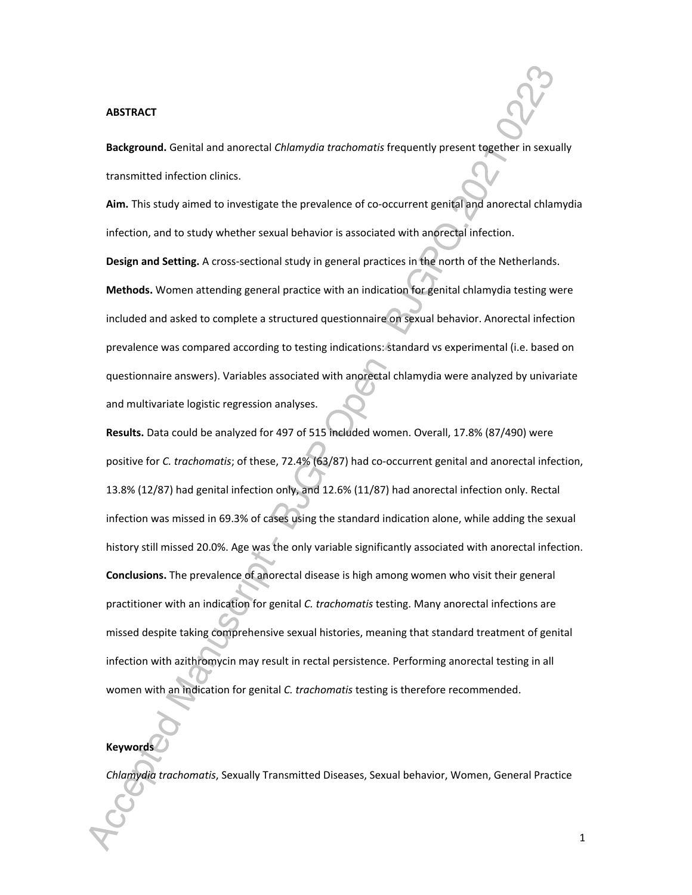#### **ABSTRACT**

**Background.** Genital and anorectal *Chlamydia trachomatis* frequently present together in sexually transmitted infection clinics.

**Aim.** This study aimed to investigate the prevalence of co-occurrent genital and anorectal chlamydia infection, and to study whether sexual behavior is associated with anorectal infection.

**Design and Setting.** A cross-sectional study in general practices in the north of the Netherlands.

**Methods.** Women attending general practice with an indication for genital chlamydia testing were included and asked to complete a structured questionnaire on sexual behavior. Anorectal infection prevalence was compared according to testing indications: standard vs experimental (i.e. based on questionnaire answers). Variables associated with anorectal chlamydia were analyzed by univariate and multivariate logistic regression analyses.

**Results.** Data could be analyzed for 497 of 515 included women. Overall, 17.8% (87/490) were positive for *C. trachomatis*; of these, 72.4% (63/87) had co-occurrent genital and anorectal infection, 13.8% (12/87) had genital infection only, and 12.6% (11/87) had anorectal infection only. Rectal infection was missed in 69.3% of cases using the standard indication alone, while adding the sexual history still missed 20.0%. Age was the only variable significantly associated with anorectal infection. **Conclusions.** The prevalence of anorectal disease is high among women who visit their general practitioner with an indication for genital *C. trachomatis* testing. Many anorectal infections are missed despite taking comprehensive sexual histories, meaning that standard treatment of genital infection with azithromycin may result in rectal persistence. Performing anorectal testing in all women with an indication for genital *C. trachomatis* testing is therefore recommended.

## **Keywords**

*Chlamydia trachomatis*, Sexually Transmitted Diseases, Sexual behavior, Women, General Practice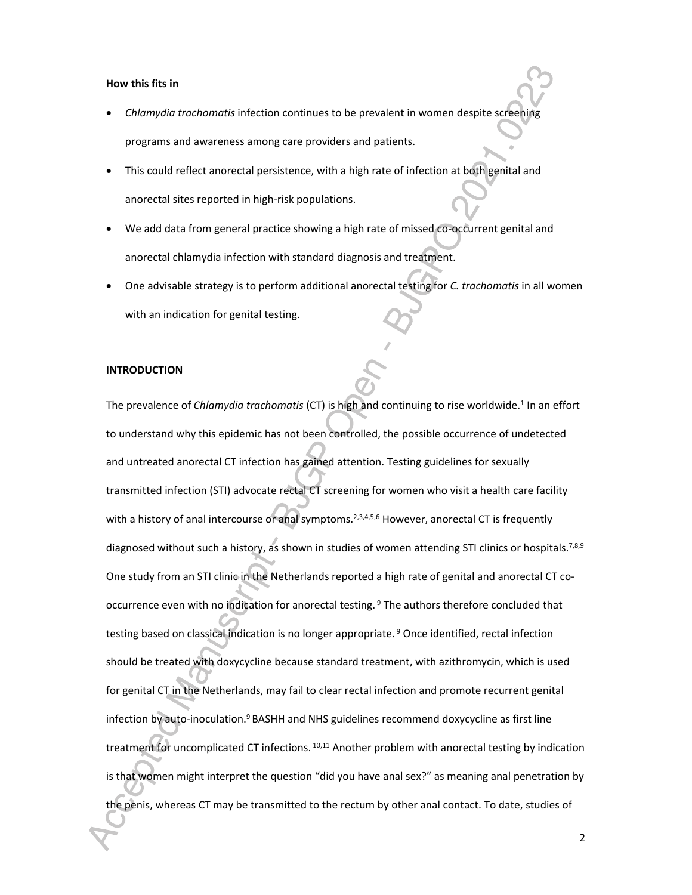#### **How this fits in**

- *Chlamydia trachomatis* infection continues to be prevalent in women despite screening programs and awareness among care providers and patients.
- This could reflect anorectal persistence, with a high rate of infection at both genital and anorectal sites reported in high-risk populations.
- We add data from general practice showing a high rate of missed co-occurrent genital and anorectal chlamydia infection with standard diagnosis and treatment.
- One advisable strategy is to perform additional anorectal testing for *C. trachomatis* in all women with an indication for genital testing.

#### **INTRODUCTION**

The prevalence of *Chlamydia trachomatis* (CT) is high and continuing to rise worldwide.<sup>1</sup> In an effort to understand why this epidemic has not been controlled, the possible occurrence of undetected and untreated anorectal CT infection has gained attention. Testing guidelines for sexually transmitted infection (STI) advocate rectal CT screening for women who visit a health care facility with a history of anal intercourse or anal symptoms.<sup>2,3,4,5,6</sup> However, anorectal CT is frequently diagnosed without such a history, as shown in studies of women attending STI clinics or hospitals.<sup>7,8,9</sup> One study from an STI clinic in the Netherlands reported a high rate of genital and anorectal CT cooccurrence even with no indication for anorectal testing.<sup>9</sup> The authors therefore concluded that testing based on classical indication is no longer appropriate.<sup>9</sup> Once identified, rectal infection should be treated with doxycycline because standard treatment, with azithromycin, which is used for genital CT in the Netherlands, may fail to clear rectal infection and promote recurrent genital infection by auto-inoculation.<sup>9</sup> BASHH and NHS guidelines recommend doxycycline as first line treatment for uncomplicated CT infections. 10,11 Another problem with anorectal testing by indication is that women might interpret the question "did you have anal sex?" as meaning anal penetration by the penis, whereas CT may be transmitted to the rectum by other anal contact. To date, studies of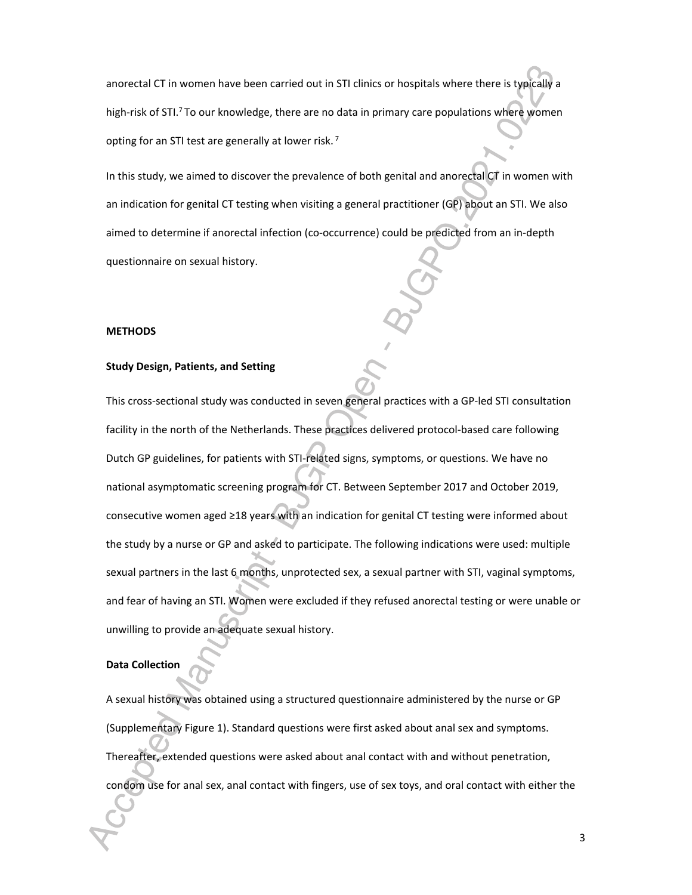anorectal CT in women have been carried out in STI clinics or hospitals where there is typically a high-risk of STI.<sup>7</sup>To our knowledge, there are no data in primary care populations where women opting for an STI test are generally at lower risk.<sup>7</sup>

In this study, we aimed to discover the prevalence of both genital and anorectal CT in women with an indication for genital CT testing when visiting a general practitioner (GP) about an STI. We also aimed to determine if anorectal infection (co-occurrence) could be predicted from an in-depth questionnaire on sexual history.

#### **METHODS**

#### **Study Design, Patients, and Setting**

This cross-sectional study was conducted in seven general practices with a GP-led STI consultation facility in the north of the Netherlands. These practices delivered protocol-based care following Dutch GP guidelines, for patients with STI-related signs, symptoms, or questions. We have no national asymptomatic screening program for CT. Between September 2017 and October 2019, consecutive women aged ≥18 years with an indication for genital CT testing were informed about the study by a nurse or GP and asked to participate. The following indications were used: multiple sexual partners in the last 6 months, unprotected sex, a sexual partner with STI, vaginal symptoms, and fear of having an STI. Women were excluded if they refused anorectal testing or were unable or unwilling to provide an adequate sexual history.

#### **Data Collection**

A sexual history was obtained using a structured questionnaire administered by the nurse or GP (Supplementary Figure 1). Standard questions were first asked about anal sex and symptoms. Thereafter, extended questions were asked about anal contact with and without penetration, condom use for anal sex, anal contact with fingers, use of sex toys, and oral contact with either the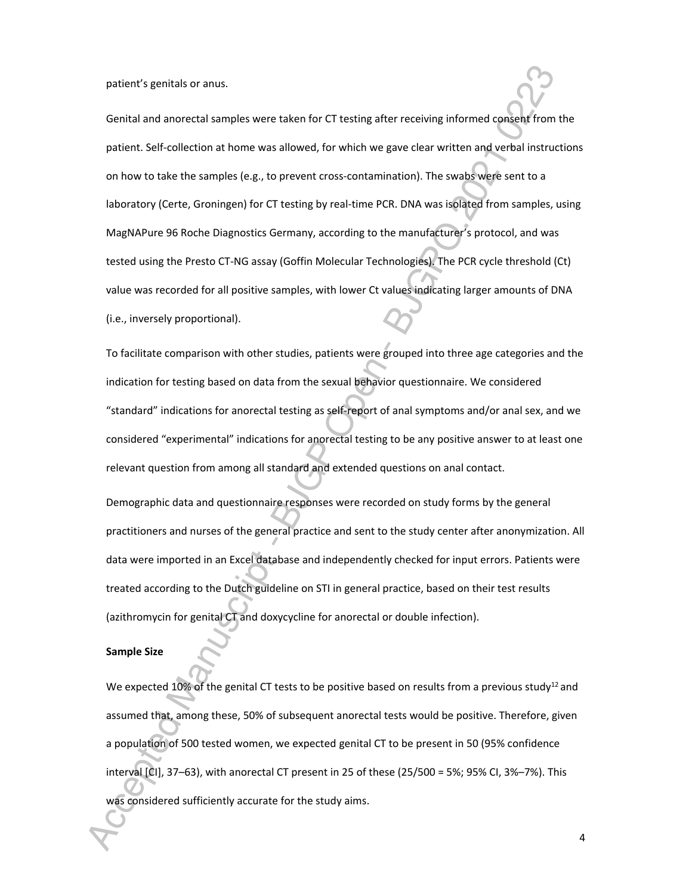patient's genitals or anus.

Genital and anorectal samples were taken for CT testing after receiving informed consent from the patient. Self-collection at home was allowed, for which we gave clear written and verbal instructions on how to take the samples (e.g., to prevent cross-contamination). The swabs were sent to a laboratory (Certe, Groningen) for CT testing by real-time PCR. DNA was isolated from samples, using MagNAPure 96 Roche Diagnostics Germany, according to the manufacturer's protocol, and was tested using the Presto CT-NG assay (Goffin Molecular Technologies). The PCR cycle threshold (Ct) value was recorded for all positive samples, with lower Ct values indicating larger amounts of DNA (i.e., inversely proportional).

To facilitate comparison with other studies, patients were grouped into three age categories and the indication for testing based on data from the sexual behavior questionnaire. We considered "standard" indications for anorectal testing as self-report of anal symptoms and/or anal sex, and we considered "experimental" indications for anorectal testing to be any positive answer to at least one relevant question from among all standard and extended questions on anal contact.

Demographic data and questionnaire responses were recorded on study forms by the general practitioners and nurses of the general practice and sent to the study center after anonymization. All data were imported in an Excel database and independently checked for input errors. Patients were treated according to the Dutch guideline on STI in general practice, based on their test results (azithromycin for genital CT and doxycycline for anorectal or double infection).

#### **Sample Size**

We expected 10% of the genital CT tests to be positive based on results from a previous study<sup>12</sup> and assumed that, among these, 50% of subsequent anorectal tests would be positive. Therefore, given a population of 500 tested women, we expected genital CT to be present in 50 (95% confidence interval [CI], 37–63), with anorectal CT present in 25 of these (25/500 = 5%; 95% CI, 3%–7%). This was considered sufficiently accurate for the study aims.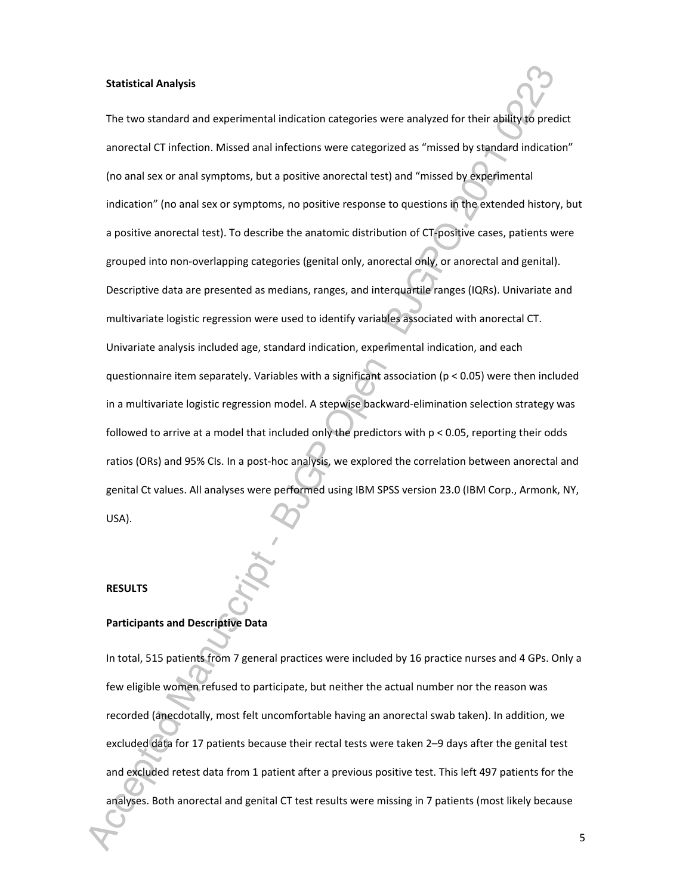#### **Statistical Analysis**

The two standard and experimental indication categories were analyzed for their ability to predict anorectal CT infection. Missed anal infections were categorized as "missed by standard indication" (no anal sex or anal symptoms, but a positive anorectal test) and "missed by experimental indication" (no anal sex or symptoms, no positive response to questions in the extended history, but a positive anorectal test). To describe the anatomic distribution of CT-positive cases, patients were grouped into non-overlapping categories (genital only, anorectal only, or anorectal and genital). Descriptive data are presented as medians, ranges, and interquartile ranges (IQRs). Univariate and multivariate logistic regression were used to identify variables associated with anorectal CT. Univariate analysis included age, standard indication, experimental indication, and each questionnaire item separately. Variables with a significant association ( $p < 0.05$ ) were then included in a multivariate logistic regression model. A stepwise backward-elimination selection strategy was followed to arrive at a model that included only the predictors with p < 0.05, reporting their odds ratios (ORs) and 95% CIs. In a post-hoc analysis, we explored the correlation between anorectal and genital Ct values. All analyses were performed using IBM SPSS version 23.0 (IBM Corp., Armonk, NY, USA).

#### **RESULTS**

#### **Participants and Descriptive Data**

In total, 515 patients from 7 general practices were included by 16 practice nurses and 4 GPs. Only a few eligible women refused to participate, but neither the actual number nor the reason was recorded (anecdotally, most felt uncomfortable having an anorectal swab taken). In addition, we excluded data for 17 patients because their rectal tests were taken 2–9 days after the genital test and excluded retest data from 1 patient after a previous positive test. This left 497 patients for the analyses. Both anorectal and genital CT test results were missing in 7 patients (most likely because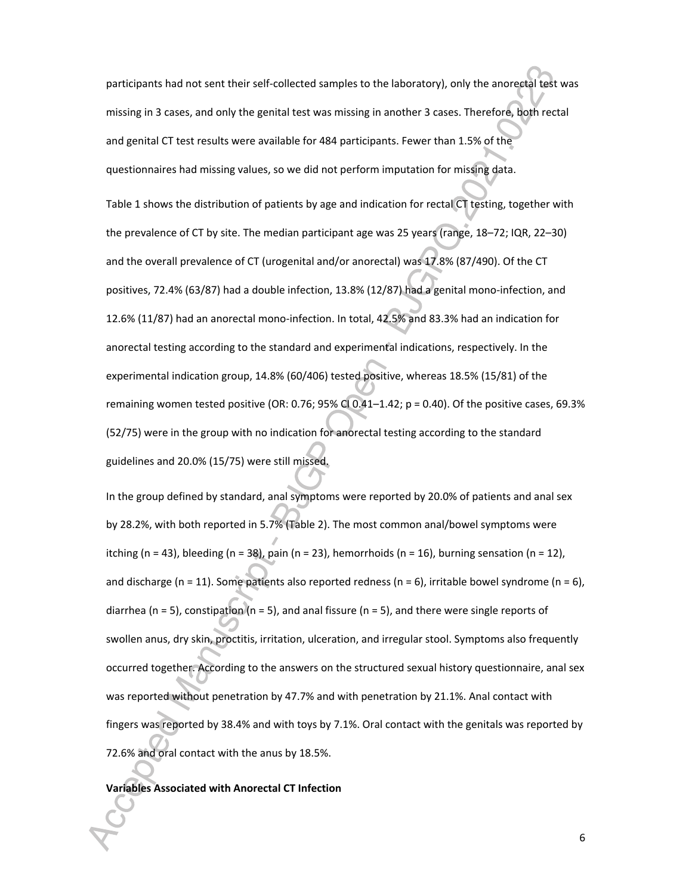participants had not sent their self-collected samples to the laboratory), only the anorectal test was missing in 3 cases, and only the genital test was missing in another 3 cases. Therefore, both rectal and genital CT test results were available for 484 participants. Fewer than 1.5% of the questionnaires had missing values, so we did not perform imputation for missing data.

Table 1 shows the distribution of patients by age and indication for rectal CT testing, together with the prevalence of CT by site. The median participant age was 25 years (range, 18–72; IQR, 22–30) and the overall prevalence of CT (urogenital and/or anorectal) was 17.8% (87/490). Of the CT positives, 72.4% (63/87) had a double infection, 13.8% (12/87) had a genital mono-infection, and 12.6% (11/87) had an anorectal mono-infection. In total, 42.5% and 83.3% had an indication for anorectal testing according to the standard and experimental indications, respectively. In the experimental indication group, 14.8% (60/406) tested positive, whereas 18.5% (15/81) of the remaining women tested positive (OR: 0.76; 95% CI 0.41-1.42;  $p = 0.40$ ). Of the positive cases, 69.3% (52/75) were in the group with no indication for anorectal testing according to the standard guidelines and 20.0% (15/75) were still missed.

In the group defined by standard, anal symptoms were reported by 20.0% of patients and anal sex by 28.2%, with both reported in 5.7% (Table 2). The most common anal/bowel symptoms were itching (n = 43), bleeding (n = 38), pain (n = 23), hemorrhoids (n = 16), burning sensation (n = 12), and discharge (n = 11). Some patients also reported redness (n = 6), irritable bowel syndrome (n = 6), diarrhea (n = 5), constipation (n = 5), and anal fissure (n = 5), and there were single reports of swollen anus, dry skin, proctitis, irritation, ulceration, and irregular stool. Symptoms also frequently occurred together. According to the answers on the structured sexual history questionnaire, anal sex was reported without penetration by 47.7% and with penetration by 21.1%. Anal contact with fingers was reported by 38.4% and with toys by 7.1%. Oral contact with the genitals was reported by 72.6% and oral contact with the anus by 18.5%.

#### **Variables Associated with Anorectal CT Infection**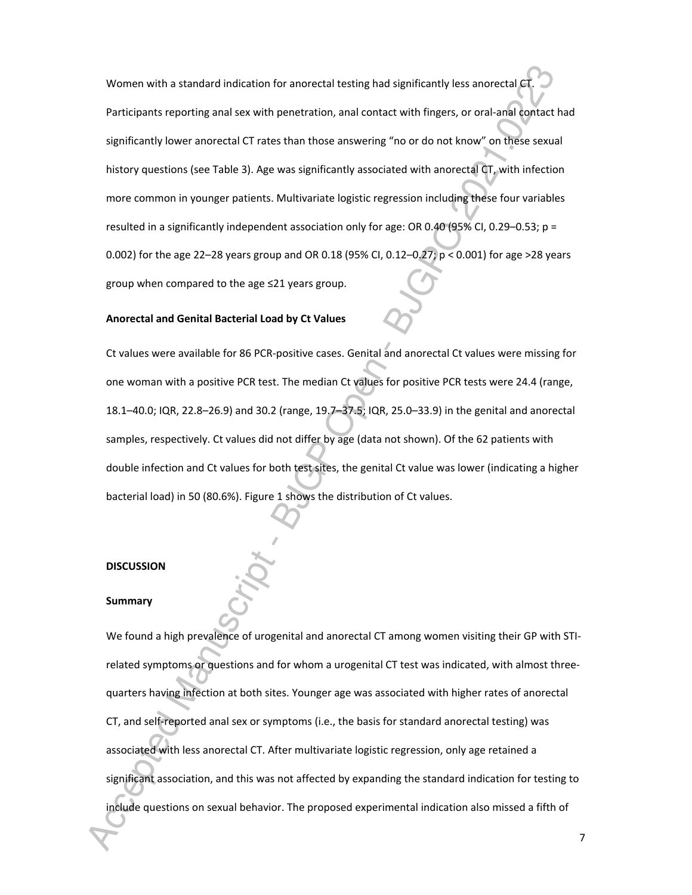Women with a standard indication for anorectal testing had significantly less anorectal CT. Participants reporting anal sex with penetration, anal contact with fingers, or oral-anal contact had significantly lower anorectal CT rates than those answering "no or do not know" on these sexual history questions (see Table 3). Age was significantly associated with anorectal CT, with infection more common in younger patients. Multivariate logistic regression including these four variables resulted in a significantly independent association only for age: OR 0.40 (95% CI, 0.29–0.53;  $p =$ 0.002) for the age 22–28 years group and OR 0.18 (95% CI, 0.12–0.27; p < 0.001) for age >28 years group when compared to the age ≤21 years group.

#### **Anorectal and Genital Bacterial Load by Ct Values**

Ct values were available for 86 PCR-positive cases. Genital and anorectal Ct values were missing for one woman with a positive PCR test. The median Ct values for positive PCR tests were 24.4 (range, 18.1–40.0; IQR, 22.8–26.9) and 30.2 (range, 19.7–37.5; IQR, 25.0–33.9) in the genital and anorectal samples, respectively. Ct values did not differ by age (data not shown). Of the 62 patients with double infection and Ct values for both test sites, the genital Ct value was lower (indicating a higher bacterial load) in 50 (80.6%). Figure 1 shows the distribution of Ct values.

#### **DISCUSSION**

#### **Summary**

We found a high prevalence of urogenital and anorectal CT among women visiting their GP with STIrelated symptoms or questions and for whom a urogenital CT test was indicated, with almost threequarters having infection at both sites. Younger age was associated with higher rates of anorectal CT, and self-reported anal sex or symptoms (i.e., the basis for standard anorectal testing) was associated with less anorectal CT. After multivariate logistic regression, only age retained a significant association, and this was not affected by expanding the standard indication for testing to include questions on sexual behavior. The proposed experimental indication also missed a fifth of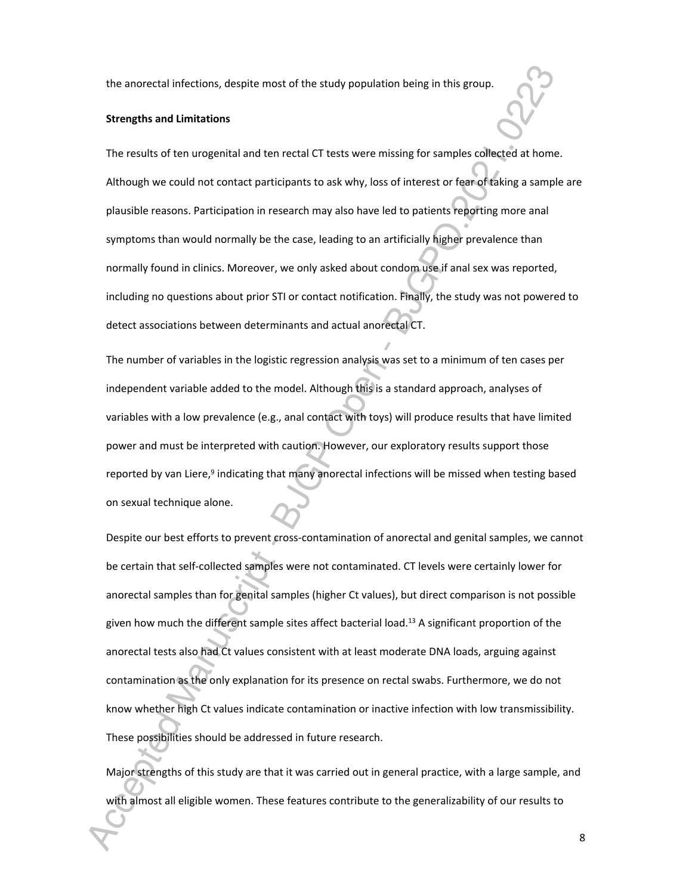the anorectal infections, despite most of the study population being in this group.

#### **Strengths and Limitations**

The results of ten urogenital and ten rectal CT tests were missing for samples collected at home. Although we could not contact participants to ask why, loss of interest or fear of taking a sample are plausible reasons. Participation in research may also have led to patients reporting more anal symptoms than would normally be the case, leading to an artificially higher prevalence than normally found in clinics. Moreover, we only asked about condom use if anal sex was reported, including no questions about prior STI or contact notification. Finally, the study was not powered to detect associations between determinants and actual anorectal CT.

The number of variables in the logistic regression analysis was set to a minimum of ten cases per independent variable added to the model. Although this is a standard approach, analyses of variables with a low prevalence (e.g., anal contact with toys) will produce results that have limited power and must be interpreted with caution. However, our exploratory results support those reported by van Liere,<sup>9</sup> indicating that many anorectal infections will be missed when testing based on sexual technique alone.

Despite our best efforts to prevent cross-contamination of anorectal and genital samples, we cannot be certain that self-collected samples were not contaminated. CT levels were certainly lower for anorectal samples than for genital samples (higher Ct values), but direct comparison is not possible given how much the different sample sites affect bacterial load.<sup>13</sup> A significant proportion of the anorectal tests also had Ct values consistent with at least moderate DNA loads, arguing against contamination as the only explanation for its presence on rectal swabs. Furthermore, we do not know whether high Ct values indicate contamination or inactive infection with low transmissibility. These possibilities should be addressed in future research.

Major strengths of this study are that it was carried out in general practice, with a large sample, and with almost all eligible women. These features contribute to the generalizability of our results to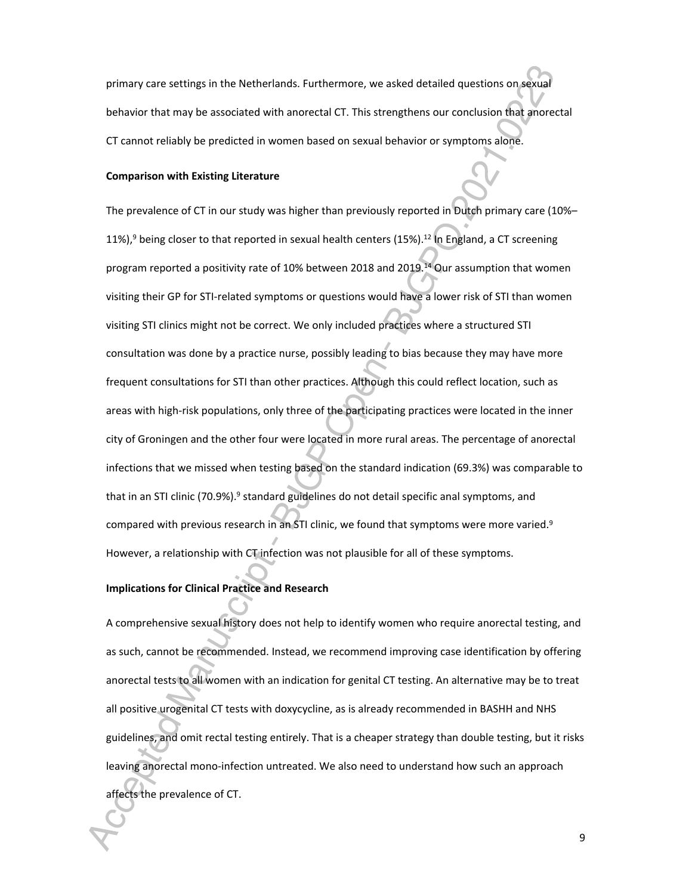primary care settings in the Netherlands. Furthermore, we asked detailed questions on sexual behavior that may be associated with anorectal CT. This strengthens our conclusion that anorectal CT cannot reliably be predicted in women based on sexual behavior or symptoms alone.

#### **Comparison with Existing Literature**

The prevalence of CT in our study was higher than previously reported in Dutch primary care (10%– 11%),<sup>9</sup> being closer to that reported in sexual health centers (15%).<sup>12</sup> In England, a CT screening program reported a positivity rate of 10% between 2018 and 2019.<sup>14</sup> Our assumption that women visiting their GP for STI-related symptoms or questions would have a lower risk of STI than women visiting STI clinics might not be correct. We only included practices where a structured STI consultation was done by a practice nurse, possibly leading to bias because they may have more frequent consultations for STI than other practices. Although this could reflect location, such as areas with high-risk populations, only three of the participating practices were located in the inner city of Groningen and the other four were located in more rural areas. The percentage of anorectal infections that we missed when testing based on the standard indication (69.3%) was comparable to that in an STI clinic (70.9%).<sup>9</sup> standard guidelines do not detail specific anal symptoms, and compared with previous research in an STI clinic, we found that symptoms were more varied.<sup>9</sup> However, a relationship with CT infection was not plausible for all of these symptoms.

## **Implications for Clinical Practice and Research**

A comprehensive sexual history does not help to identify women who require anorectal testing, and as such, cannot be recommended. Instead, we recommend improving case identification by offering anorectal tests to all women with an indication for genital CT testing. An alternative may be to treat all positive urogenital CT tests with doxycycline, as is already recommended in BASHH and NHS guidelines, and omit rectal testing entirely. That is a cheaper strategy than double testing, but it risks leaving anorectal mono-infection untreated. We also need to understand how such an approach affects the prevalence of CT.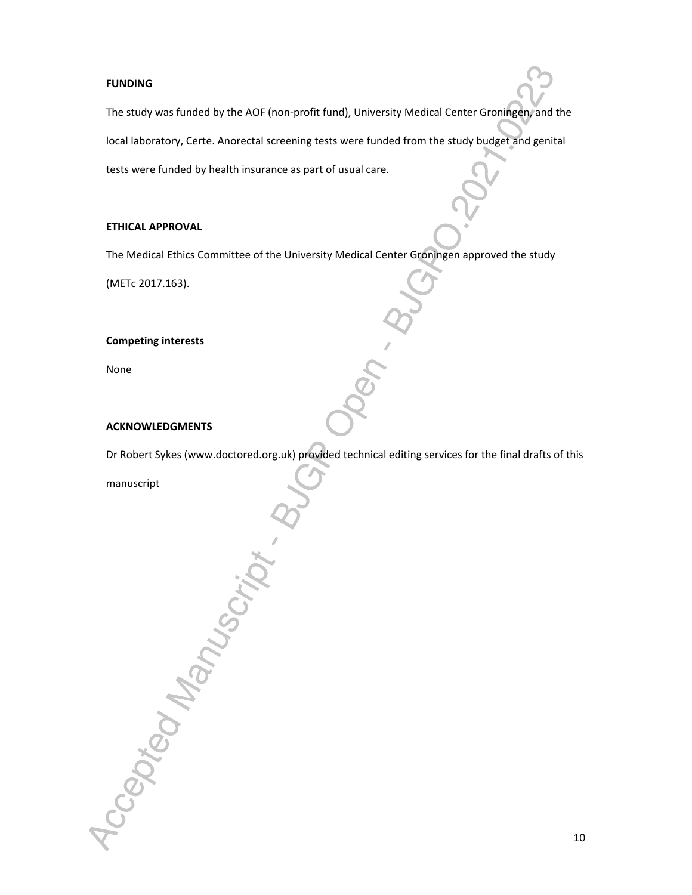#### **FUNDING**

The study was funded by the AOF (non-profit fund), University Medical Center Groningen, and the local laboratory, Certe. Anorectal screening tests were funded from the study budget and genital tests were funded by health insurance as part of usual care.

#### **ETHICAL APPROVAL**

The Medical Ethics Committee of the University Medical Center Groningen approved the study

(METc 2017.163).

#### **Competing interests**

None

#### **ACKNOWLEDGMENTS**

Accepted Manuscript . B

Dr Robert Sykes (www.doctored.org.uk) provided technical editing services for the final drafts of this

manuscript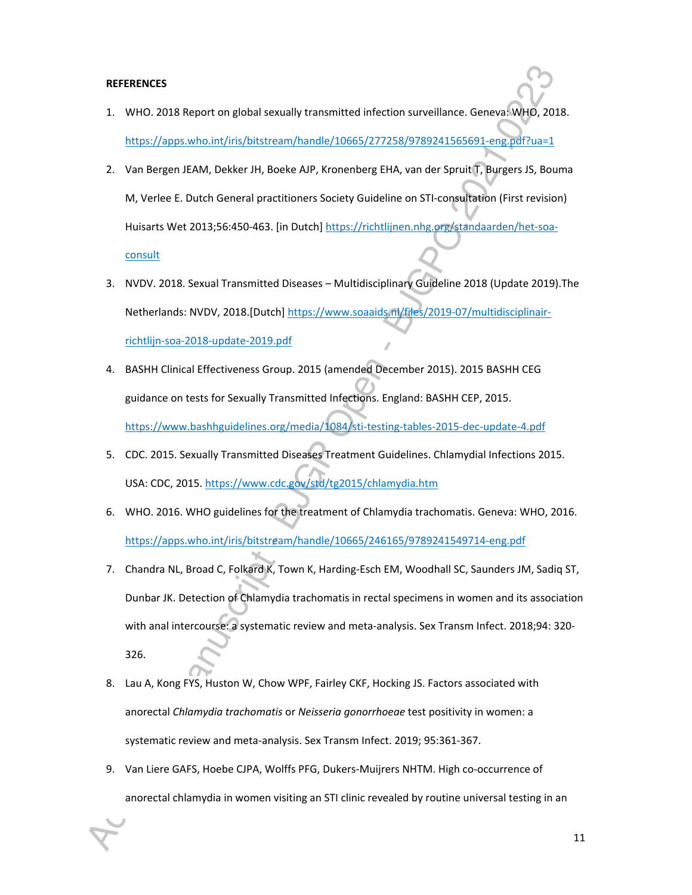#### **REFERENCES**

- 1. WHO. 2018 Report on global sexually transmitted infection surveillance. Geneva: WHO, 2018. https://apps.who.int/iris/bitstream/handle/10665/277258/9789241565691-eng.pdf?ua=1
- 2. Van Bergen JEAM, Dekker JH, Boeke AJP, Kronenberg EHA, van der Spruit T, Burgers JS, Bouma M, Verlee E. Dutch General practitioners Society Guideline on STI-consultation (First revision) Huisarts Wet 2013;56:450-463. [in Dutch] https://richtlijnen.nhg.org/standaarden/het-soa-

#### **consult**

- 3. NVDV. 2018. Sexual Transmitted Diseases Multidisciplinary Guideline 2018 (Update 2019).The Netherlands: NVDV, 2018.[Dutch] https://www.soaaids.nl/files/2019-07/multidisciplinairrichtlijn-soa-2018-update-2019.pdf
- 4. BASHH Clinical Effectiveness Group. 2015 (amended December 2015). 2015 BASHH CEG guidance on tests for Sexually Transmitted Infections. England: BASHH CEP, 2015. https://www.bashhguidelines.org/media/1084/sti-testing-tables-2015-dec-update-4.pdf
- 5. CDC. 2015. Sexually Transmitted Diseases Treatment Guidelines. Chlamydial Infections 2015. USA: CDC, 2015. https://www.cdc.gov/std/tg2015/chlamydia.htm
- 6. WHO. 2016. WHO guidelines for the treatment of Chlamydia trachomatis. Geneva: WHO, 2016. https://apps.who.int/iris/bitstream/handle/10665/246165/9789241549714-eng.pdf
- 7. Chandra NL, Broad C, Folkard K, Town K, Harding-Esch EM, Woodhall SC, Saunders JM, Sadiq ST, Dunbar JK. Detection of Chlamydia trachomatis in rectal specimens in women and its association with anal intercourse: a systematic review and meta-analysis. Sex Transm Infect. 2018;94: 320- 326.
- 8. Lau A, Kong FYS, Huston W, Chow WPF, Fairley CKF, Hocking JS. Factors associated with anorectal *Chlamydia trachomatis* or *Neisseria gonorrhoeae* test positivity in women: a systematic review and meta-analysis. Sex Transm Infect. 2019; 95:361-367.
- 9. Van Liere GAFS, Hoebe CJPA, Wolffs PFG, Dukers-Muijrers NHTM. High co-occurrence of anorectal chlamydia in women visiting an STI clinic revealed by routine universal testing in an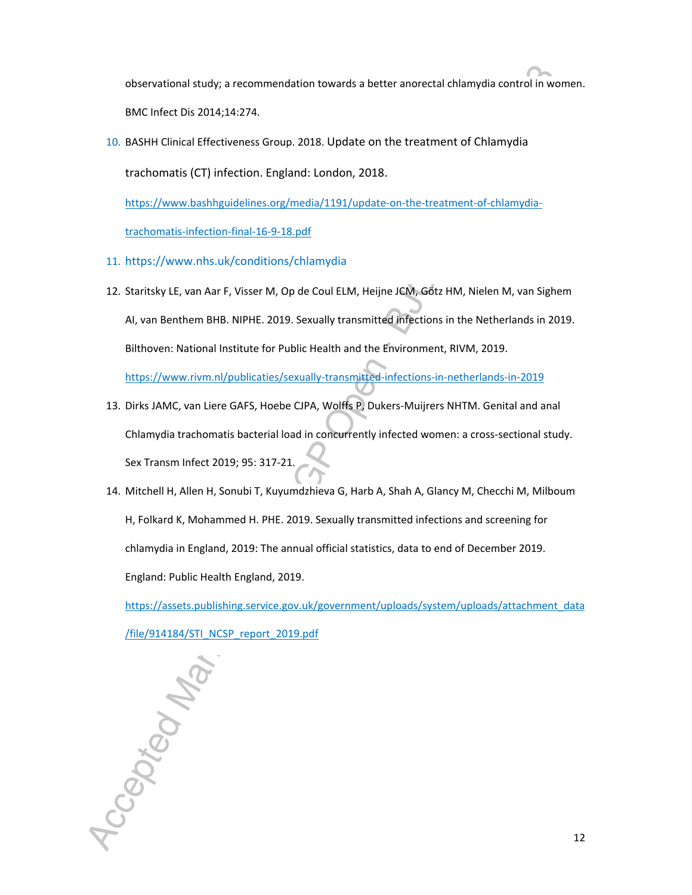observational study; a recommendation towards a better anorectal chlamydia control in women. BMC Infect Dis 2014;14:274.

10. BASHH Clinical Effectiveness Group. 2018. Update on the treatment of Chlamydia

trachomatis (CT) infection. England: London, 2018.

https://www.bashhguidelines.org/media/1191/update-on-the-treatment-of-chlamydia-

trachomatis-infection-final-16-9-18.pdf

- 11. https://www.nhs.uk/conditions/chlamydia
- 12. Staritsky LE, van Aar F, Visser M, Op de Coul ELM, Heijne JCM, Götz HM, Nielen M, van Sighem AI, van Benthem BHB. NIPHE. 2019. Sexually transmitted infections in the Netherlands in 2019. Bilthoven: National Institute for Public Health and the Environment, RIVM, 2019. https://www.rivm.nl/publicaties/sexually-transmitted-infections-in-netherlands-in-2019
- 13. Dirks JAMC, van Liere GAFS, Hoebe CJPA, Wolffs P, Dukers-Muijrers NHTM. Genital and anal Chlamydia trachomatis bacterial load in concurrently infected women: a cross-sectional study. Sex Transm Infect 2019; 95: 317-21.
- 14. Mitchell H, Allen H, Sonubi T, Kuyumdzhieva G, Harb A, Shah A, Glancy M, Checchi M, Milboum H, Folkard K, Mohammed H. PHE. 2019. Sexually transmitted infections and screening for chlamydia in England, 2019: The annual official statistics, data to end of December 2019. England: Public Health England, 2019.

https://assets.publishing.service.gov.uk/government/uploads/system/uploads/attachment\_data

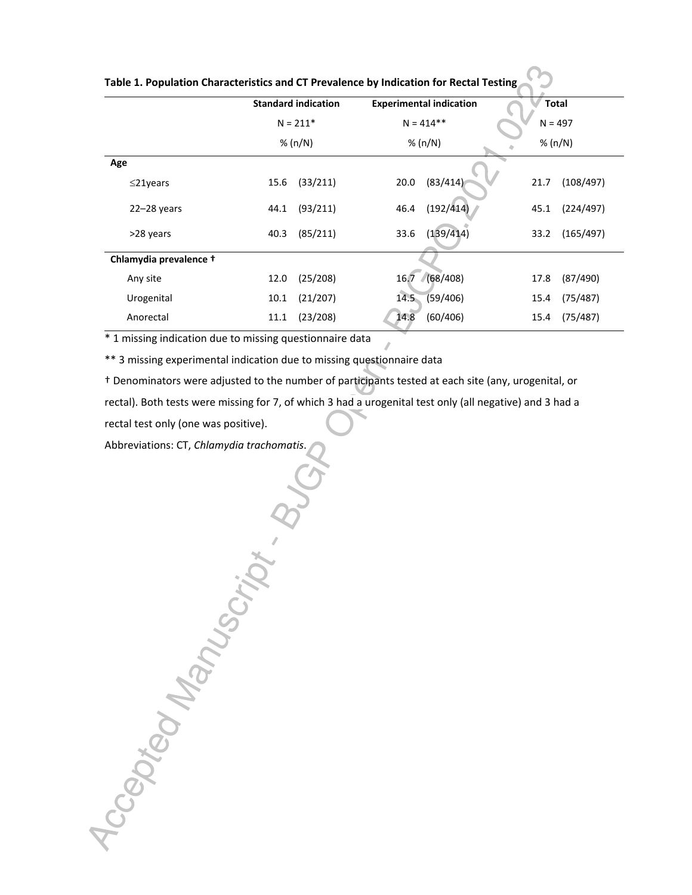|                        | <b>Standard indication</b><br>$N = 211*$<br>% (n/N) |          |              | <b>Experimental indication</b> |      | <b>Total</b><br>$N = 497$<br>% (n/N) |  |
|------------------------|-----------------------------------------------------|----------|--------------|--------------------------------|------|--------------------------------------|--|
|                        |                                                     |          | $N = 414$ ** |                                |      |                                      |  |
|                        |                                                     |          |              | % $(n/N)$                      |      |                                      |  |
| Age                    |                                                     |          |              |                                |      |                                      |  |
| $\leq$ 21years         | 15.6                                                | (33/211) | 20.0         | (83/414)                       | 21.7 | (108/497)                            |  |
| $22 - 28$ years        | 44.1                                                | (93/211) | 46.4         | (192/414)                      | 45.1 | (224/497)                            |  |
| >28 years              | 40.3                                                | (85/211) | 33.6         | (139/414)                      | 33.2 | (165/497)                            |  |
| Chlamydia prevalence + |                                                     |          |              |                                |      |                                      |  |
| Any site               | 12.0                                                | (25/208) |              | 16.7 (68/408)                  | 17.8 | (87/490)                             |  |
| Urogenital             | 10.1                                                | (21/207) | 14.5         | (59/406)                       | 15.4 | (75/487)                             |  |
| Anorectal              | 11.1                                                | (23/208) | 14.8         | (60/406)                       | 15.4 | (75/487)                             |  |

**Table 1. Population Characteristics and CT Prevalence by Indication for Rectal Testing** 

\* 1 missing indication due to missing questionnaire data

\*\* 3 missing experimental indication due to missing questionnaire data

† Denominators were adjusted to the number of participants tested at each site (any, urogenital, or

rectal). Both tests were missing for 7, of which 3 had a urogenital test only (all negative) and 3 had a

rectal test only (one was positive).

Abbreviations: CT, *Chlamydia trachomatis*.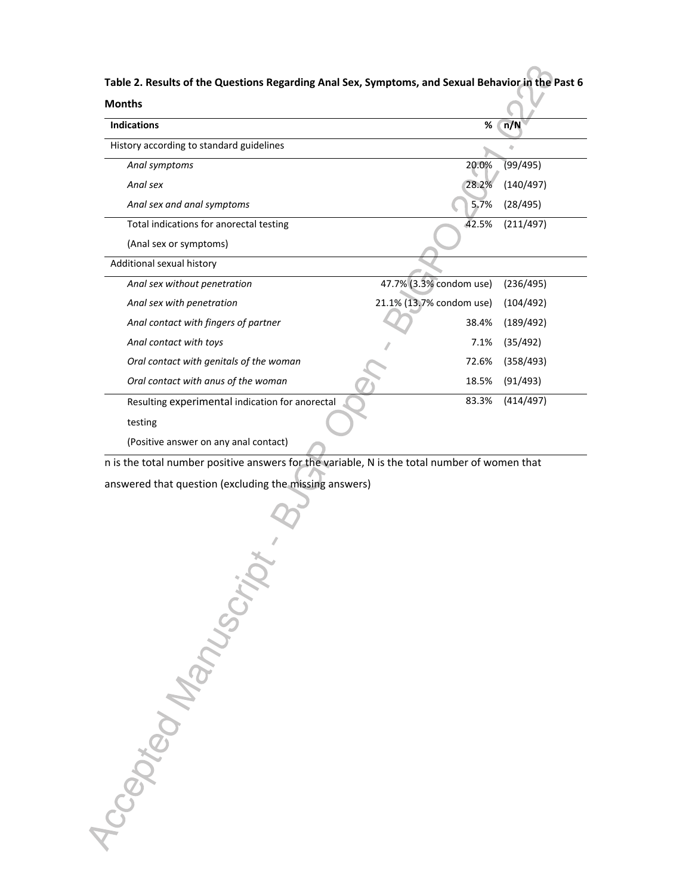| <b>Months</b>                                   |                          |           |
|-------------------------------------------------|--------------------------|-----------|
| <b>Indications</b>                              | %                        | n/N       |
| History according to standard guidelines        |                          |           |
| Anal symptoms                                   | 20.0%                    | (99/495)  |
| Anal sex                                        | 28.2%                    | (140/497) |
| Anal sex and anal symptoms                      | 5.7%                     | (28/495)  |
| Total indications for anorectal testing         | 42.5%                    | (211/497) |
| (Anal sex or symptoms)                          |                          |           |
| Additional sexual history                       |                          |           |
| Anal sex without penetration                    | 47.7% (3.3% condom use)  | (236/495) |
| Anal sex with penetration                       | 21.1% (13.7% condom use) | (104/492) |
| Anal contact with fingers of partner            | 38.4%                    | (189/492) |
| Anal contact with toys                          | 7.1%                     | (35/492)  |
| Oral contact with genitals of the woman         | 72.6%                    | (358/493) |
| Oral contact with anus of the woman             | 18.5%                    | (91/493)  |
| Resulting experimental indication for anorectal | 83.3%                    | (414/497) |
| testing                                         |                          |           |
| (Positive answer on any anal contact)           |                          |           |

**Table 2. Results of the Questions Regarding Anal Sex, Symptoms, and Sexual Behavior in the Past 6** 

answered that question (excluding the missing answers)

n is the total number positive answers for the variable, N is the total number of women that<br>answered that question (excluding the missing answers)<br>and the variable of women that<br>and  $\sim$  and  $\sim$  and  $\sim$  and  $\sim$  and  $\sim$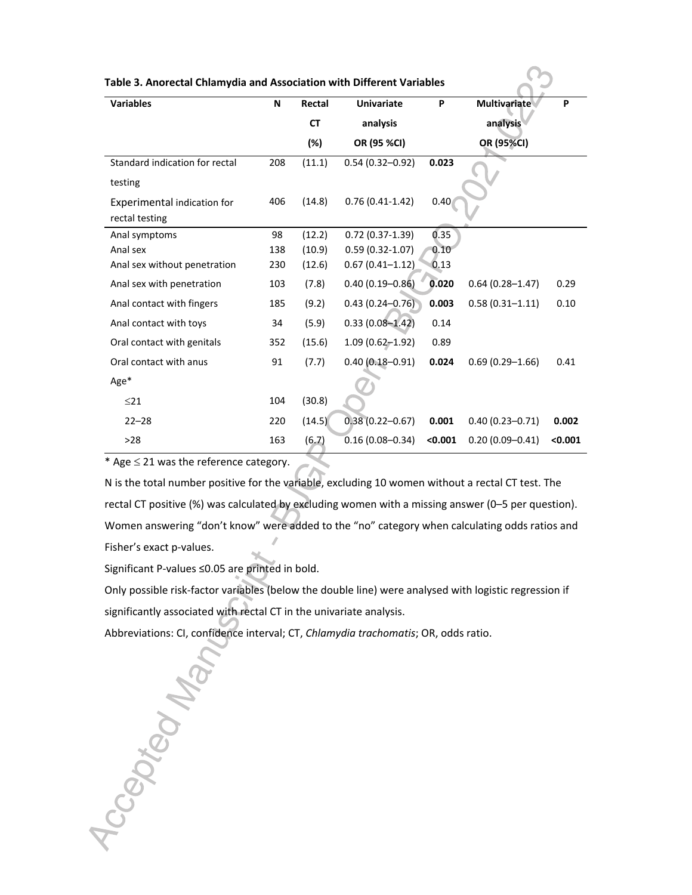| Table 3. Anorectal Chlamydia and Association with Different Variables |  |  |
|-----------------------------------------------------------------------|--|--|
|-----------------------------------------------------------------------|--|--|

| <b>Variables</b>               | N   | Rectal    | <b>Univariate</b>   | P       | <b>Multivariate</b> | P       |
|--------------------------------|-----|-----------|---------------------|---------|---------------------|---------|
|                                |     | <b>CT</b> | analysis            |         | analysis            |         |
|                                |     | $(\%)$    | OR (95 %CI)         |         | OR (95%CI)          |         |
| Standard indication for rectal | 208 | (11.1)    | $0.54(0.32 - 0.92)$ | 0.023   |                     |         |
| testing                        |     |           |                     |         |                     |         |
| Experimental indication for    | 406 | (14.8)    | $0.76(0.41-1.42)$   | 0.40    |                     |         |
| rectal testing                 |     |           |                     |         |                     |         |
| Anal symptoms                  | 98  | (12.2)    | $0.72(0.37-1.39)$   | 0.35    |                     |         |
| Anal sex                       | 138 | (10.9)    | $0.59(0.32 - 1.07)$ | 0.10    |                     |         |
| Anal sex without penetration   | 230 | (12.6)    | $0.67(0.41 - 1.12)$ | 0.13    |                     |         |
| Anal sex with penetration      | 103 | (7.8)     | $0.40(0.19 - 0.86)$ | 0.020   | $0.64(0.28 - 1.47)$ | 0.29    |
| Anal contact with fingers      | 185 | (9.2)     | $0.43(0.24 - 0.76)$ | 0.003   | $0.58(0.31 - 1.11)$ | 0.10    |
| Anal contact with toys         | 34  | (5.9)     | $0.33(0.08 - 1.42)$ | 0.14    |                     |         |
| Oral contact with genitals     | 352 | (15.6)    | $1.09(0.62 - 1.92)$ | 0.89    |                     |         |
| Oral contact with anus         | 91  | (7.7)     | $0.40(0.18 - 0.91)$ | 0.024   | $0.69(0.29 - 1.66)$ | 0.41    |
| Age*                           |     |           |                     |         |                     |         |
| $\leq$ 21                      | 104 | (30.8)    |                     |         |                     |         |
| $22 - 28$                      | 220 | (14.5)    | $0.38(0.22 - 0.67)$ | 0.001   | $0.40(0.23 - 0.71)$ | 0.002   |
| $>28$                          | 163 | (6.7)     | $0.16(0.08 - 0.34)$ | < 0.001 | $0.20(0.09 - 0.41)$ | < 0.001 |

\* Age  $\leq$  21 was the reference category.

N is the total number positive for the variable, excluding 10 women without a rectal CT test. The rectal CT positive (%) was calculated by excluding women with a missing answer (0–5 per question). Women answering "don't know" were added to the "no" category when calculating odds ratios and Fisher's exact p-values.

Significant P-values ≤0.05 are printed in bold.

Only possible risk-factor variables (below the double line) were analysed with logistic regression if significantly associated with rectal CT in the univariate analysis.

Abbreviations: CI, confidence interval; CT, *Chlamydia trachomatis*; OR, odds ratio.